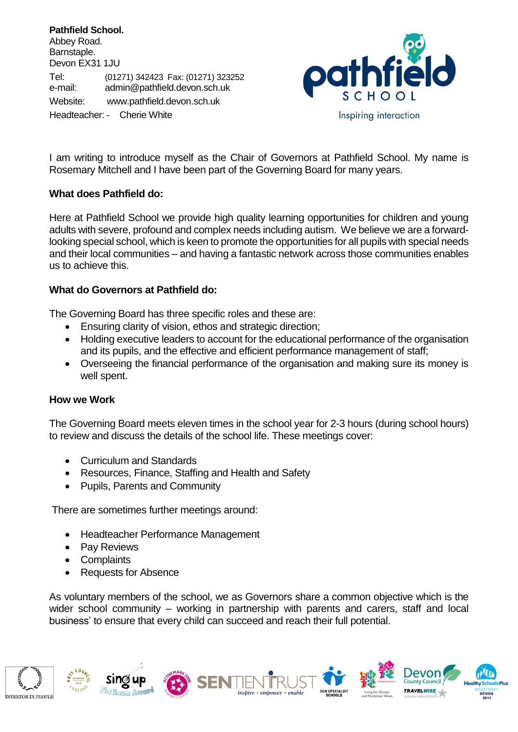**Pathfield School.** Abbey Road. Barnstaple. Devon EX31 1JU Tel: (01271) 342423 Fax: (01271) 323252 e-mail: [admin@pathfield.devon.sch.uk](mailto:admin@pathfield.devon.sch.uk) Website: www.pathfield.devon.sch.uk Headteacher: - Cherie White



I am writing to introduce myself as the Chair of Governors at Pathfield School. My name is Rosemary Mitchell and I have been part of the Governing Board for many years.

## **What does Pathfield do:**

Here at Pathfield School we provide high quality learning opportunities for children and young adults with severe, profound and complex needs including autism. We believe we are a forwardlooking special school, which is keen to promote the opportunities for all pupils with special needs and their local communities – and having a fantastic network across those communities enables us to achieve this.

## **What do Governors at Pathfield do:**

The Governing Board has three specific roles and these are:

- Ensuring clarity of vision, ethos and strategic direction;
- Holding executive leaders to account for the educational performance of the organisation and its pupils, and the effective and efficient performance management of staff;
- Overseeing the financial performance of the organisation and making sure its money is well spent.

## **How we Work**

The Governing Board meets eleven times in the school year for 2-3 hours (during school hours) to review and discuss the details of the school life. These meetings cover:

- Curriculum and Standards
- Resources, Finance, Staffing and Health and Safety
- Pupils, Parents and Community

There are sometimes further meetings around:

- Headteacher Performance Management
- Pay Reviews
- Complaints
- Requests for Absence

As voluntary members of the school, we as Governors share a common objective which is the wider school community – working in partnership with parents and carers, staff and local business' to ensure that every child can succeed and reach their full potential.